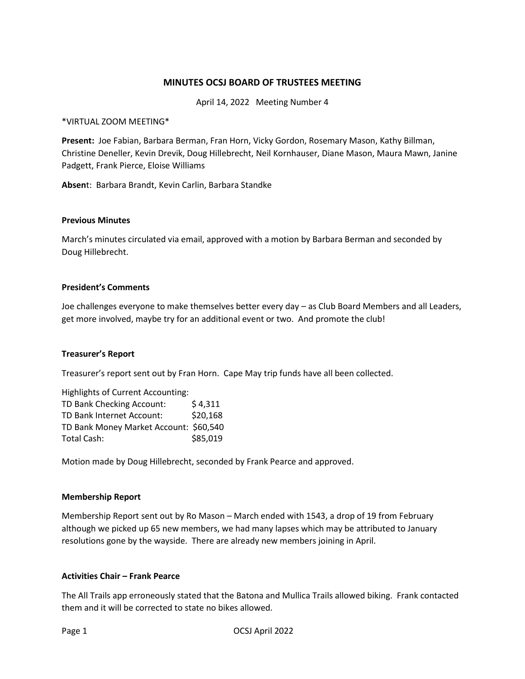# **MINUTES OCSJ BOARD OF TRUSTEES MEETING**

April 14, 2022 Meeting Number 4

\*VIRTUAL ZOOM MEETING\*

**Present:** Joe Fabian, Barbara Berman, Fran Horn, Vicky Gordon, Rosemary Mason, Kathy Billman, Christine Deneller, Kevin Drevik, Doug Hillebrecht, Neil Kornhauser, Diane Mason, Maura Mawn, Janine Padgett, Frank Pierce, Eloise Williams

**Absen**t: Barbara Brandt, Kevin Carlin, Barbara Standke

#### **Previous Minutes**

March's minutes circulated via email, approved with a motion by Barbara Berman and seconded by Doug Hillebrecht.

#### **President's Comments**

Joe challenges everyone to make themselves better every day – as Club Board Members and all Leaders, get more involved, maybe try for an additional event or two. And promote the club!

## **Treasurer's Report**

Treasurer's report sent out by Fran Horn. Cape May trip funds have all been collected.

| <b>Highlights of Current Accounting:</b> |          |
|------------------------------------------|----------|
| TD Bank Checking Account:                | \$4,311  |
| TD Bank Internet Account:                | \$20,168 |
| TD Bank Money Market Account: \$60,540   |          |
| Total Cash:                              | \$85,019 |

Motion made by Doug Hillebrecht, seconded by Frank Pearce and approved.

#### **Membership Report**

Membership Report sent out by Ro Mason – March ended with 1543, a drop of 19 from February although we picked up 65 new members, we had many lapses which may be attributed to January resolutions gone by the wayside. There are already new members joining in April.

# **Activities Chair – Frank Pearce**

The All Trails app erroneously stated that the Batona and Mullica Trails allowed biking. Frank contacted them and it will be corrected to state no bikes allowed.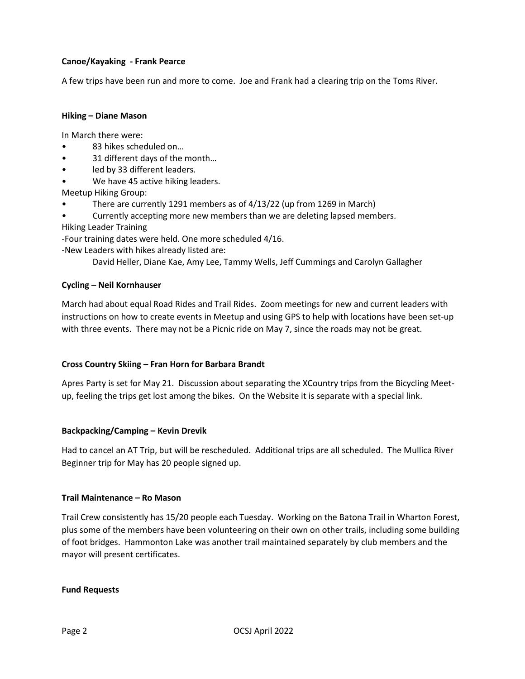# **Canoe/Kayaking - Frank Pearce**

A few trips have been run and more to come. Joe and Frank had a clearing trip on the Toms River.

# **Hiking – Diane Mason**

In March there were:

- 83 hikes scheduled on...
- 31 different days of the month…
- led by 33 different leaders.
- We have 45 active hiking leaders.

Meetup Hiking Group:

- There are currently 1291 members as of 4/13/22 (up from 1269 in March)
- Currently accepting more new members than we are deleting lapsed members.

Hiking Leader Training

-Four training dates were held. One more scheduled 4/16.

-New Leaders with hikes already listed are:

David Heller, Diane Kae, Amy Lee, Tammy Wells, Jeff Cummings and Carolyn Gallagher

## **Cycling – Neil Kornhauser**

March had about equal Road Rides and Trail Rides. Zoom meetings for new and current leaders with instructions on how to create events in Meetup and using GPS to help with locations have been set-up with three events. There may not be a Picnic ride on May 7, since the roads may not be great.

## **Cross Country Skiing – Fran Horn for Barbara Brandt**

Apres Party is set for May 21. Discussion about separating the XCountry trips from the Bicycling Meetup, feeling the trips get lost among the bikes. On the Website it is separate with a special link.

## **Backpacking/Camping – Kevin Drevik**

Had to cancel an AT Trip, but will be rescheduled. Additional trips are all scheduled. The Mullica River Beginner trip for May has 20 people signed up.

## **Trail Maintenance – Ro Mason**

Trail Crew consistently has 15/20 people each Tuesday. Working on the Batona Trail in Wharton Forest, plus some of the members have been volunteering on their own on other trails, including some building of foot bridges. Hammonton Lake was another trail maintained separately by club members and the mayor will present certificates.

## **Fund Requests**